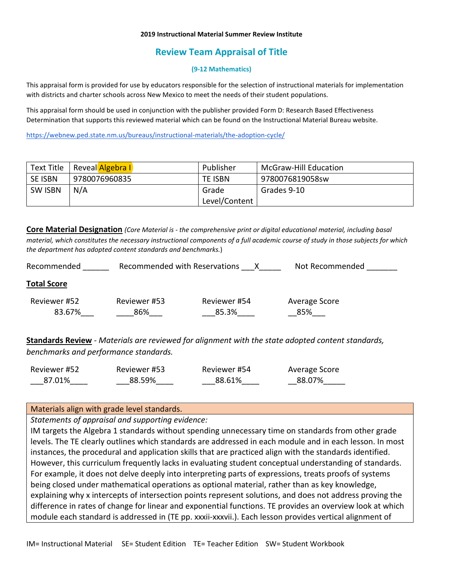#### **2019 Instructional Material Summer Review Institute**

# **Review Team Appraisal of Title**

#### **(9-12 Mathematics)**

This appraisal form is provided for use by educators responsible for the selection of instructional materials for implementation with districts and charter schools across New Mexico to meet the needs of their student populations.

This appraisal form should be used in conjunction with the publisher provided Form D: Research Based Effectiveness Determination that supports this reviewed material which can be found on the Instructional Material Bureau website.

<https://webnew.ped.state.nm.us/bureaus/instructional-materials/the-adoption-cycle/>

| Text Title     | Reveal Algebra I | Publisher     | <b>McGraw-Hill Education</b> |
|----------------|------------------|---------------|------------------------------|
| SE ISBN        | 9780076960835    | TE ISBN       | 9780076819058sw              |
| <b>SW ISBN</b> | N/A              | Grade         | Grades 9-10                  |
|                |                  | Level/Content |                              |

**Core Material Designation** *(Core Material is - the comprehensive print or digital educational material, including basal material, which constitutes the necessary instructional components of a full academic course of study in those subjects for which the department has adopted content standards and benchmarks.*)

| Recommended        | Recommended with Reservations |              | Not Recommended |
|--------------------|-------------------------------|--------------|-----------------|
| <b>Total Score</b> |                               |              |                 |
| Reviewer #52       | Reviewer #53                  | Reviewer #54 | Average Score   |
| 83.67%             | 86%                           | 85.3%        | 85%             |
|                    |                               |              |                 |

**Standards Review** - *Materials are reviewed for alignment with the state adopted content standards, benchmarks and performance standards.*

| Reviewer #52 | Reviewer #53 | Reviewer #54 | Average Score |
|--------------|--------------|--------------|---------------|
| 87.01%       | 88.59%       | 88.61%       | 88.07%        |

### Materials align with grade level standards.

*Statements of appraisal and supporting evidence:*

IM targets the Algebra 1 standards without spending unnecessary time on standards from other grade levels. The TE clearly outlines which standards are addressed in each module and in each lesson. In most instances, the procedural and application skills that are practiced align with the standards identified. However, this curriculum frequently lacks in evaluating student conceptual understanding of standards. For example, it does not delve deeply into interpreting parts of expressions, treats proofs of systems being closed under mathematical operations as optional material, rather than as key knowledge, explaining why x intercepts of intersection points represent solutions, and does not address proving the difference in rates of change for linear and exponential functions. TE provides an overview look at which module each standard is addressed in (TE pp. xxxii-xxxvii.). Each lesson provides vertical alignment of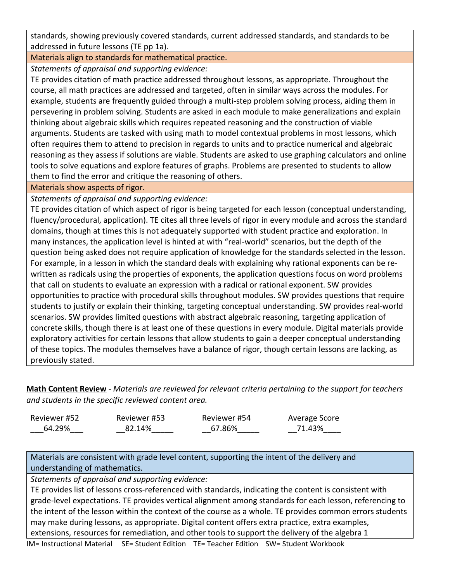standards, showing previously covered standards, current addressed standards, and standards to be addressed in future lessons (TE pp 1a).

Materials align to standards for mathematical practice.

*Statements of appraisal and supporting evidence:*

TE provides citation of math practice addressed throughout lessons, as appropriate. Throughout the course, all math practices are addressed and targeted, often in similar ways across the modules. For example, students are frequently guided through a multi-step problem solving process, aiding them in persevering in problem solving. Students are asked in each module to make generalizations and explain thinking about algebraic skills which requires repeated reasoning and the construction of viable arguments. Students are tasked with using math to model contextual problems in most lessons, which often requires them to attend to precision in regards to units and to practice numerical and algebraic reasoning as they assess if solutions are viable. Students are asked to use graphing calculators and online tools to solve equations and explore features of graphs. Problems are presented to students to allow them to find the error and critique the reasoning of others.

Materials show aspects of rigor.

*Statements of appraisal and supporting evidence:*

TE provides citation of which aspect of rigor is being targeted for each lesson (conceptual understanding, fluency/procedural, application). TE cites all three levels of rigor in every module and across the standard domains, though at times this is not adequately supported with student practice and exploration. In many instances, the application level is hinted at with "real-world" scenarios, but the depth of the question being asked does not require application of knowledge for the standards selected in the lesson. For example, in a lesson in which the standard deals with explaining why rational exponents can be rewritten as radicals using the properties of exponents, the application questions focus on word problems that call on students to evaluate an expression with a radical or rational exponent. SW provides opportunities to practice with procedural skills throughout modules. SW provides questions that require students to justify or explain their thinking, targeting conceptual understanding. SW provides real-world scenarios. SW provides limited questions with abstract algebraic reasoning, targeting application of concrete skills, though there is at least one of these questions in every module. Digital materials provide exploratory activities for certain lessons that allow students to gain a deeper conceptual understanding of these topics. The modules themselves have a balance of rigor, though certain lessons are lacking, as previously stated.

**Math Content Review** - *Materials are reviewed for relevant criteria pertaining to the support for teachers and students in the specific reviewed content area.*

| Reviewer #52 | Reviewer #53 | Reviewer #54 | Average Score |
|--------------|--------------|--------------|---------------|
| 64.29%       | 82.14%       | 67.86%       | 71.43%        |

Materials are consistent with grade level content, supporting the intent of the delivery and understanding of mathematics.

*Statements of appraisal and supporting evidence:*

TE provides list of lessons cross-referenced with standards, indicating the content is consistent with grade-level expectations. TE provides vertical alignment among standards for each lesson, referencing to the intent of the lesson within the context of the course as a whole. TE provides common errors students may make during lessons, as appropriate. Digital content offers extra practice, extra examples, extensions, resources for remediation, and other tools to support the delivery of the algebra 1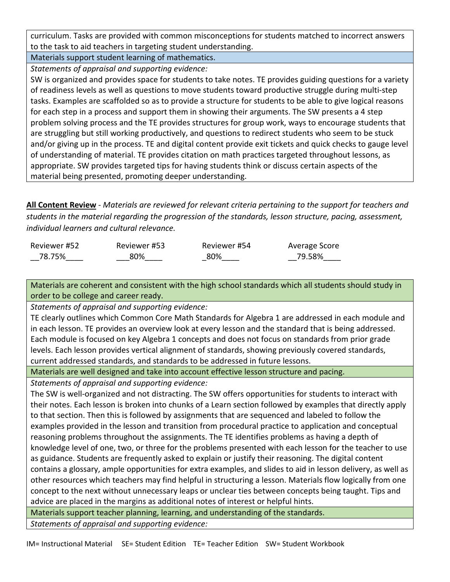curriculum. Tasks are provided with common misconceptions for students matched to incorrect answers to the task to aid teachers in targeting student understanding.

Materials support student learning of mathematics. *Statements of appraisal and supporting evidence:*

SW is organized and provides space for students to take notes. TE provides guiding questions for a variety of readiness levels as well as questions to move students toward productive struggle during multi-step tasks. Examples are scaffolded so as to provide a structure for students to be able to give logical reasons for each step in a process and support them in showing their arguments. The SW presents a 4 step problem solving process and the TE provides structures for group work, ways to encourage students that are struggling but still working productively, and questions to redirect students who seem to be stuck and/or giving up in the process. TE and digital content provide exit tickets and quick checks to gauge level of understanding of material. TE provides citation on math practices targeted throughout lessons, as appropriate. SW provides targeted tips for having students think or discuss certain aspects of the material being presented, promoting deeper understanding.

**All Content Review** - *Materials are reviewed for relevant criteria pertaining to the support for teachers and students in the material regarding the progression of the standards, lesson structure, pacing, assessment, individual learners and cultural relevance.*

| Reviewer #52 | Reviewer #53 | Reviewer #54 | Average Score |
|--------------|--------------|--------------|---------------|
| 78.75%       | 80%          | 80%          | 79.58%        |

Materials are coherent and consistent with the high school standards which all students should study in order to be college and career ready.

*Statements of appraisal and supporting evidence:*

TE clearly outlines which Common Core Math Standards for Algebra 1 are addressed in each module and in each lesson. TE provides an overview look at every lesson and the standard that is being addressed. Each module is focused on key Algebra 1 concepts and does not focus on standards from prior grade levels. Each lesson provides vertical alignment of standards, showing previously covered standards, current addressed standards, and standards to be addressed in future lessons.

Materials are well designed and take into account effective lesson structure and pacing.

*Statements of appraisal and supporting evidence:*

The SW is well-organized and not distracting. The SW offers opportunities for students to interact with their notes. Each lesson is broken into chunks of a Learn section followed by examples that directly apply to that section. Then this is followed by assignments that are sequenced and labeled to follow the examples provided in the lesson and transition from procedural practice to application and conceptual reasoning problems throughout the assignments. The TE identifies problems as having a depth of knowledge level of one, two, or three for the problems presented with each lesson for the teacher to use as guidance. Students are frequently asked to explain or justify their reasoning. The digital content contains a glossary, ample opportunities for extra examples, and slides to aid in lesson delivery, as well as other resources which teachers may find helpful in structuring a lesson. Materials flow logically from one concept to the next without unnecessary leaps or unclear ties between concepts being taught. Tips and advice are placed in the margins as additional notes of interest or helpful hints.

Materials support teacher planning, learning, and understanding of the standards.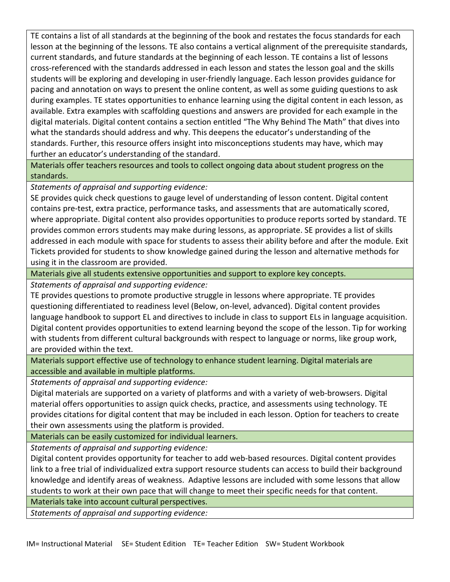TE contains a list of all standards at the beginning of the book and restates the focus standards for each lesson at the beginning of the lessons. TE also contains a vertical alignment of the prerequisite standards, current standards, and future standards at the beginning of each lesson. TE contains a list of lessons cross-referenced with the standards addressed in each lesson and states the lesson goal and the skills students will be exploring and developing in user-friendly language. Each lesson provides guidance for pacing and annotation on ways to present the online content, as well as some guiding questions to ask during examples. TE states opportunities to enhance learning using the digital content in each lesson, as available. Extra examples with scaffolding questions and answers are provided for each example in the digital materials. Digital content contains a section entitled "The Why Behind The Math" that dives into what the standards should address and why. This deepens the educator's understanding of the standards. Further, this resource offers insight into misconceptions students may have, which may further an educator's understanding of the standard.

Materials offer teachers resources and tools to collect ongoing data about student progress on the standards.

*Statements of appraisal and supporting evidence:*

SE provides quick check questions to gauge level of understanding of lesson content. Digital content contains pre-test, extra practice, performance tasks, and assessments that are automatically scored, where appropriate. Digital content also provides opportunities to produce reports sorted by standard. TE provides common errors students may make during lessons, as appropriate. SE provides a list of skills addressed in each module with space for students to assess their ability before and after the module. Exit Tickets provided for students to show knowledge gained during the lesson and alternative methods for using it in the classroom are provided.

Materials give all students extensive opportunities and support to explore key concepts.

*Statements of appraisal and supporting evidence:*

TE provides questions to promote productive struggle in lessons where appropriate. TE provides questioning differentiated to readiness level (Below, on-level, advanced). Digital content provides language handbook to support EL and directives to include in class to support ELs in language acquisition. Digital content provides opportunities to extend learning beyond the scope of the lesson. Tip for working with students from different cultural backgrounds with respect to language or norms, like group work, are provided within the text.

Materials support effective use of technology to enhance student learning. Digital materials are accessible and available in multiple platforms.

*Statements of appraisal and supporting evidence:*

Digital materials are supported on a variety of platforms and with a variety of web-browsers. Digital material offers opportunities to assign quick checks, practice, and assessments using technology. TE provides citations for digital content that may be included in each lesson. Option for teachers to create their own assessments using the platform is provided.

Materials can be easily customized for individual learners.

*Statements of appraisal and supporting evidence:*

Digital content provides opportunity for teacher to add web-based resources. Digital content provides link to a free trial of individualized extra support resource students can access to build their background knowledge and identify areas of weakness. Adaptive lessons are included with some lessons that allow students to work at their own pace that will change to meet their specific needs for that content.

Materials take into account cultural perspectives.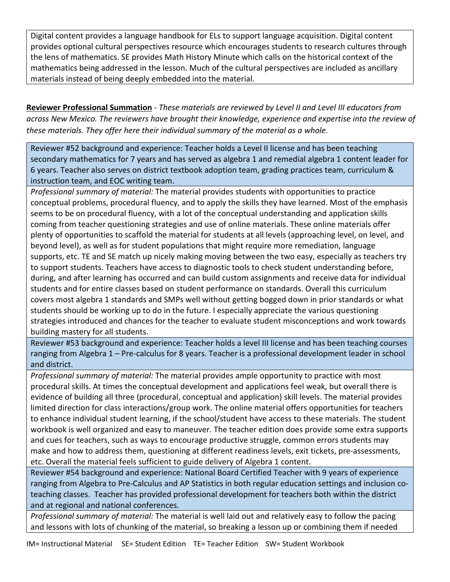Digital content provides a language handbook for ELs to support language acquisition. Digital content provides optional cultural perspectives resource which encourages students to research cultures through the lens of mathematics. SE provides Math History Minute which calls on the historical context of the mathematics being addressed in the lesson. Much of the cultural perspectives are included as ancillary materials instead of being deeply embedded into the material.

**Reviewer Professional Summation** - *These materials are reviewed by Level II and Level III educators from across New Mexico. The reviewers have brought their knowledge, experience and expertise into the review of these materials. They offer here their individual summary of the material as a whole.* 

Reviewer #52 background and experience: Teacher holds a Level II license and has been teaching secondary mathematics for 7 years and has served as algebra 1 and remedial algebra 1 content leader for 6 years. Teacher also serves on district textbook adoption team, grading practices team, curriculum & instruction team, and EOC writing team.

*Professional summary of material:* The material provides students with opportunities to practice conceptual problems, procedural fluency, and to apply the skills they have learned. Most of the emphasis seems to be on procedural fluency, with a lot of the conceptual understanding and application skills coming from teacher questioning strategies and use of online materials. These online materials offer plenty of opportunities to scaffold the material for students at all levels (approaching level, on level, and beyond level), as well as for student populations that might require more remediation, language supports, etc. TE and SE match up nicely making moving between the two easy, especially as teachers try to support students. Teachers have access to diagnostic tools to check student understanding before, during, and after learning has occurred and can build custom assignments and receive data for individual students and for entire classes based on student performance on standards. Overall this curriculum covers most algebra 1 standards and SMPs well without getting bogged down in prior standards or what students should be working up to do in the future. I especially appreciate the various questioning strategies introduced and chances for the teacher to evaluate student misconceptions and work towards building mastery for all students.

Reviewer #53 background and experience: Teacher holds a level III license and has been teaching courses ranging from Algebra 1 – Pre-calculus for 8 years. Teacher is a professional development leader in school and district.

*Professional summary of material:* The material provides ample opportunity to practice with most procedural skills. At times the conceptual development and applications feel weak, but overall there is evidence of building all three (procedural, conceptual and application) skill levels. The material provides limited direction for class interactions/group work. The online material offers opportunities for teachers to enhance individual student learning, if the school/student have access to these materials. The student workbook is well organized and easy to maneuver. The teacher edition does provide some extra supports and cues for teachers, such as ways to encourage productive struggle, common errors students may make and how to address them, questioning at different readiness levels, exit tickets, pre-assessments, etc. Overall the material feels sufficient to guide delivery of Algebra 1 content.

Reviewer #54 background and experience: National Board Certified Teacher with 9 years of experience ranging from Algebra to Pre-Calculus and AP Statistics in both regular education settings and inclusion coteaching classes. Teacher has provided professional development for teachers both within the district and at regional and national conferences.

*Professional summary of material:* The material is well laid out and relatively easy to follow the pacing and lessons with lots of chunking of the material, so breaking a lesson up or combining them if needed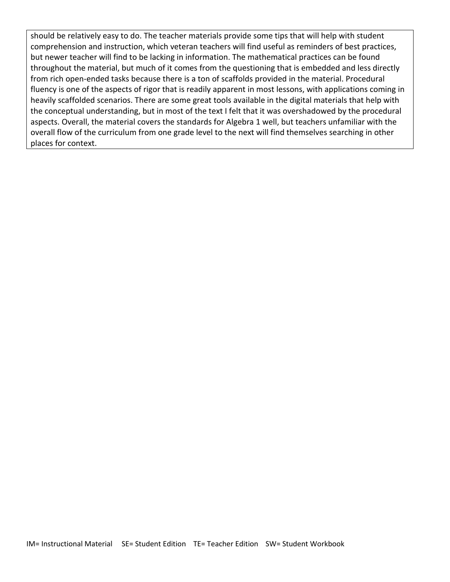should be relatively easy to do. The teacher materials provide some tips that will help with student comprehension and instruction, which veteran teachers will find useful as reminders of best practices, but newer teacher will find to be lacking in information. The mathematical practices can be found throughout the material, but much of it comes from the questioning that is embedded and less directly from rich open-ended tasks because there is a ton of scaffolds provided in the material. Procedural fluency is one of the aspects of rigor that is readily apparent in most lessons, with applications coming in heavily scaffolded scenarios. There are some great tools available in the digital materials that help with the conceptual understanding, but in most of the text I felt that it was overshadowed by the procedural aspects. Overall, the material covers the standards for Algebra 1 well, but teachers unfamiliar with the overall flow of the curriculum from one grade level to the next will find themselves searching in other places for context.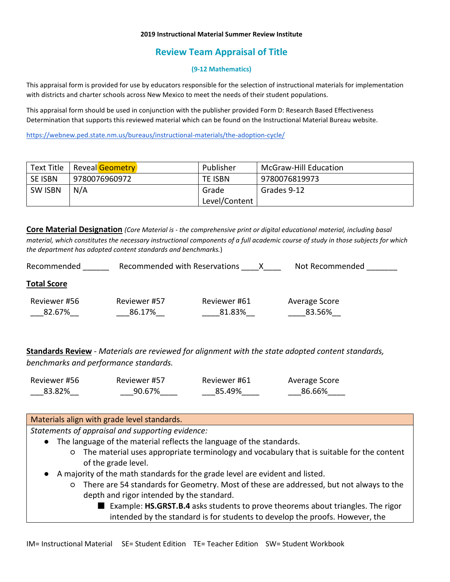#### **2019 Instructional Material Summer Review Institute**

# **Review Team Appraisal of Title**

### **(9-12 Mathematics)**

This appraisal form is provided for use by educators responsible for the selection of instructional materials for implementation with districts and charter schools across New Mexico to meet the needs of their student populations.

This appraisal form should be used in conjunction with the publisher provided Form D: Research Based Effectiveness Determination that supports this reviewed material which can be found on the Instructional Material Bureau website.

<https://webnew.ped.state.nm.us/bureaus/instructional-materials/the-adoption-cycle/>

| Text Title     | Reveal Geometry | Publisher     | <b>McGraw-Hill Education</b> |
|----------------|-----------------|---------------|------------------------------|
| <b>SE ISBN</b> | 9780076960972   | TE ISBN       | 9780076819973                |
| <b>SW ISBN</b> | N/A             | Grade         | Grades 9-12                  |
|                |                 | Level/Content |                              |

**Core Material Designation** *(Core Material is - the comprehensive print or digital educational material, including basal material, which constitutes the necessary instructional components of a full academic course of study in those subjects for which the department has adopted content standards and benchmarks.*)

| Recommended            | Recommended with Reservations |                        | Not Recommended         |
|------------------------|-------------------------------|------------------------|-------------------------|
| <b>Total Score</b>     |                               |                        |                         |
| Reviewer #56<br>82.67% | Reviewer #57<br>86.17%        | Reviewer #61<br>81.83% | Average Score<br>83.56% |

**Standards Review** - *Materials are reviewed for alignment with the state adopted content standards, benchmarks and performance standards.*

| Reviewer #56 | Reviewer #57 | Reviewer #61 | Average Score |
|--------------|--------------|--------------|---------------|
| 83.82%       | 90.67%       | 85.49%       | 86.66%        |

## Materials align with grade level standards.

- The language of the material reflects the language of the standards.
	- The material uses appropriate terminology and vocabulary that is suitable for the content of the grade level.
- A majority of the math standards for the grade level are evident and listed.
	- There are 54 standards for Geometry. Most of these are addressed, but not always to the depth and rigor intended by the standard.
		- Example: **HS.GRST.B.4** asks students to prove theorems about triangles. The rigor intended by the standard is for students to develop the proofs. However, the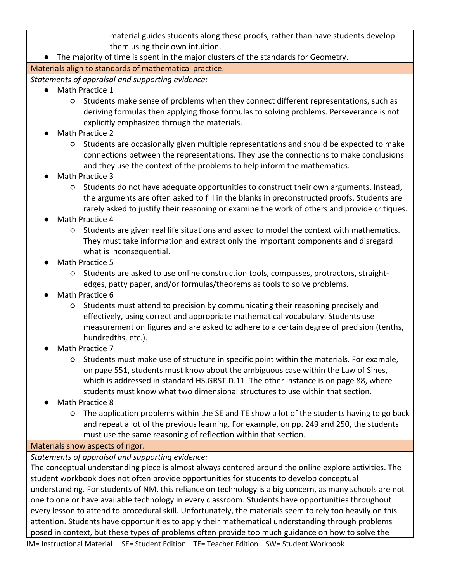material guides students along these proofs, rather than have students develop them using their own intuition.

● The majority of time is spent in the major clusters of the standards for Geometry.

Materials align to standards of mathematical practice.

*Statements of appraisal and supporting evidence:*

- Math Practice 1
	- Students make sense of problems when they connect different representations, such as deriving formulas then applying those formulas to solving problems. Perseverance is not explicitly emphasized through the materials.
- Math Practice 2
	- Students are occasionally given multiple representations and should be expected to make connections between the representations. They use the connections to make conclusions and they use the context of the problems to help inform the mathematics.
- Math Practice 3
	- Students do not have adequate opportunities to construct their own arguments. Instead, the arguments are often asked to fill in the blanks in preconstructed proofs. Students are rarely asked to justify their reasoning or examine the work of others and provide critiques.
- Math Practice 4
	- Students are given real life situations and asked to model the context with mathematics. They must take information and extract only the important components and disregard what is inconsequential.
- Math Practice 5
	- Students are asked to use online construction tools, compasses, protractors, straightedges, patty paper, and/or formulas/theorems as tools to solve problems.
- Math Practice 6
	- Students must attend to precision by communicating their reasoning precisely and effectively, using correct and appropriate mathematical vocabulary. Students use measurement on figures and are asked to adhere to a certain degree of precision (tenths, hundredths, etc.).
- Math Practice 7
	- Students must make use of structure in specific point within the materials. For example, on page 551, students must know about the ambiguous case within the Law of Sines, which is addressed in standard HS.GRST.D.11. The other instance is on page 88, where students must know what two dimensional structures to use within that section.
- Math Practice 8
	- The application problems within the SE and TE show a lot of the students having to go back and repeat a lot of the previous learning. For example, on pp. 249 and 250, the students must use the same reasoning of reflection within that section.

# Materials show aspects of rigor.

*Statements of appraisal and supporting evidence:*

The conceptual understanding piece is almost always centered around the online explore activities. The student workbook does not often provide opportunities for students to develop conceptual understanding. For students of NM, this reliance on technology is a big concern, as many schools are not one to one or have available technology in every classroom. Students have opportunities throughout every lesson to attend to procedural skill. Unfortunately, the materials seem to rely too heavily on this attention. Students have opportunities to apply their mathematical understanding through problems posed in context, but these types of problems often provide too much guidance on how to solve the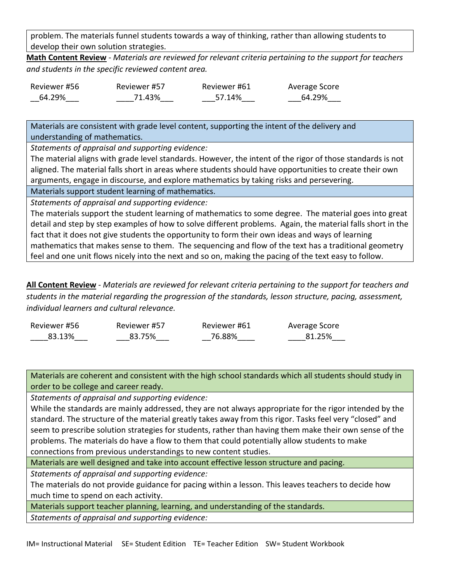problem. The materials funnel students towards a way of thinking, rather than allowing students to develop their own solution strategies.

**Math Content Review** - *Materials are reviewed for relevant criteria pertaining to the support for teachers and students in the specific reviewed content area.*

| Reviewer #56 | Reviewer #57 | Reviewer #61 | Average Score |
|--------------|--------------|--------------|---------------|
| 64.29%       | 71.43%       | 57.14%       | 64.29%        |

Materials are consistent with grade level content, supporting the intent of the delivery and understanding of mathematics.

*Statements of appraisal and supporting evidence:*

The material aligns with grade level standards. However, the intent of the rigor of those standards is not aligned. The material falls short in areas where students should have opportunities to create their own arguments, engage in discourse, and explore mathematics by taking risks and persevering.

Materials support student learning of mathematics.

*Statements of appraisal and supporting evidence:*

The materials support the student learning of mathematics to some degree. The material goes into great detail and step by step examples of how to solve different problems. Again, the material falls short in the fact that it does not give students the opportunity to form their own ideas and ways of learning mathematics that makes sense to them. The sequencing and flow of the text has a traditional geometry feel and one unit flows nicely into the next and so on, making the pacing of the text easy to follow.

**All Content Review** - *Materials are reviewed for relevant criteria pertaining to the support for teachers and students in the material regarding the progression of the standards, lesson structure, pacing, assessment, individual learners and cultural relevance.*

| Reviewer #56 | Reviewer #57 | Reviewer #61 | Average Score |
|--------------|--------------|--------------|---------------|
| 83.13%       | 83.75%       | 76.88%       | 81.25%        |

Materials are coherent and consistent with the high school standards which all students should study in order to be college and career ready.

*Statements of appraisal and supporting evidence:*

While the standards are mainly addressed, they are not always appropriate for the rigor intended by the standard. The structure of the material greatly takes away from this rigor. Tasks feel very "closed" and seem to prescribe solution strategies for students, rather than having them make their own sense of the problems. The materials do have a flow to them that could potentially allow students to make connections from previous understandings to new content studies.

Materials are well designed and take into account effective lesson structure and pacing.

*Statements of appraisal and supporting evidence:*

The materials do not provide guidance for pacing within a lesson. This leaves teachers to decide how much time to spend on each activity.

Materials support teacher planning, learning, and understanding of the standards.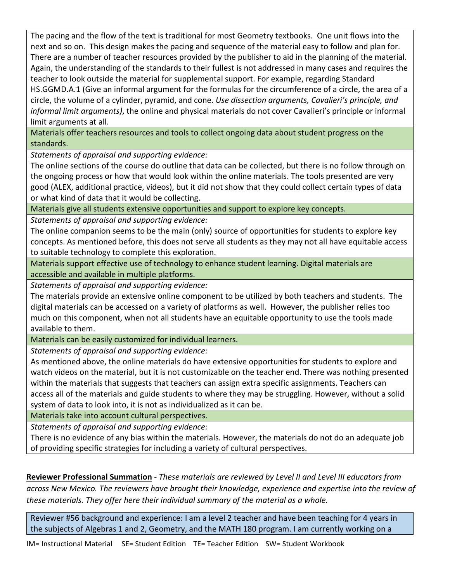The pacing and the flow of the text is traditional for most Geometry textbooks. One unit flows into the next and so on. This design makes the pacing and sequence of the material easy to follow and plan for. There are a number of teacher resources provided by the publisher to aid in the planning of the material. Again, the understanding of the standards to their fullest is not addressed in many cases and requires the teacher to look outside the material for supplemental support. For example, regarding Standard HS.GGMD.A.1 (Give an informal argument for the formulas for the circumference of a circle, the area of a circle, the volume of a cylinder, pyramid, and cone. *Use dissection arguments, Cavalieri's principle, and informal limit arguments)*, the online and physical materials do not cover Cavalieri's principle or informal limit arguments at all.

Materials offer teachers resources and tools to collect ongoing data about student progress on the standards.

*Statements of appraisal and supporting evidence:*

The online sections of the course do outline that data can be collected, but there is no follow through on the ongoing process or how that would look within the online materials. The tools presented are very good (ALEX, additional practice, videos), but it did not show that they could collect certain types of data or what kind of data that it would be collecting.

Materials give all students extensive opportunities and support to explore key concepts.

*Statements of appraisal and supporting evidence:*

The online companion seems to be the main (only) source of opportunities for students to explore key concepts. As mentioned before, this does not serve all students as they may not all have equitable access to suitable technology to complete this exploration.

Materials support effective use of technology to enhance student learning. Digital materials are accessible and available in multiple platforms.

*Statements of appraisal and supporting evidence:*

The materials provide an extensive online component to be utilized by both teachers and students. The digital materials can be accessed on a variety of platforms as well. However, the publisher relies too much on this component, when not all students have an equitable opportunity to use the tools made available to them.

Materials can be easily customized for individual learners.

*Statements of appraisal and supporting evidence:*

As mentioned above, the online materials do have extensive opportunities for students to explore and watch videos on the material, but it is not customizable on the teacher end. There was nothing presented within the materials that suggests that teachers can assign extra specific assignments. Teachers can access all of the materials and guide students to where they may be struggling. However, without a solid system of data to look into, it is not as individualized as it can be.

Materials take into account cultural perspectives.

*Statements of appraisal and supporting evidence:*

There is no evidence of any bias within the materials. However, the materials do not do an adequate job of providing specific strategies for including a variety of cultural perspectives.

**Reviewer Professional Summation** - *These materials are reviewed by Level II and Level III educators from across New Mexico. The reviewers have brought their knowledge, experience and expertise into the review of these materials. They offer here their individual summary of the material as a whole.* 

Reviewer #56 background and experience: I am a level 2 teacher and have been teaching for 4 years in the subjects of Algebras 1 and 2, Geometry, and the MATH 180 program. I am currently working on a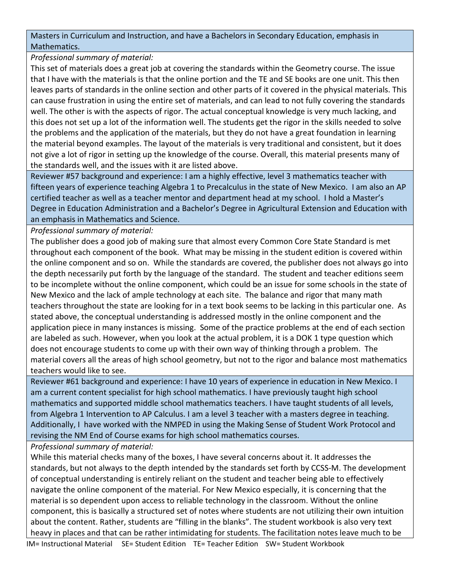Masters in Curriculum and Instruction, and have a Bachelors in Secondary Education, emphasis in Mathematics.

## *Professional summary of material:*

This set of materials does a great job at covering the standards within the Geometry course. The issue that I have with the materials is that the online portion and the TE and SE books are one unit. This then leaves parts of standards in the online section and other parts of it covered in the physical materials. This can cause frustration in using the entire set of materials, and can lead to not fully covering the standards well. The other is with the aspects of rigor. The actual conceptual knowledge is very much lacking, and this does not set up a lot of the information well. The students get the rigor in the skills needed to solve the problems and the application of the materials, but they do not have a great foundation in learning the material beyond examples. The layout of the materials is very traditional and consistent, but it does not give a lot of rigor in setting up the knowledge of the course. Overall, this material presents many of the standards well, and the issues with it are listed above.

Reviewer #57 background and experience: I am a highly effective, level 3 mathematics teacher with fifteen years of experience teaching Algebra 1 to Precalculus in the state of New Mexico. I am also an AP certified teacher as well as a teacher mentor and department head at my school. I hold a Master's Degree in Education Administration and a Bachelor's Degree in Agricultural Extension and Education with an emphasis in Mathematics and Science.

## *Professional summary of material:*

The publisher does a good job of making sure that almost every Common Core State Standard is met throughout each component of the book. What may be missing in the student edition is covered within the online component and so on. While the standards are covered, the publisher does not always go into the depth necessarily put forth by the language of the standard. The student and teacher editions seem to be incomplete without the online component, which could be an issue for some schools in the state of New Mexico and the lack of ample technology at each site. The balance and rigor that many math teachers throughout the state are looking for in a text book seems to be lacking in this particular one. As stated above, the conceptual understanding is addressed mostly in the online component and the application piece in many instances is missing. Some of the practice problems at the end of each section are labeled as such. However, when you look at the actual problem, it is a DOK 1 type question which does not encourage students to come up with their own way of thinking through a problem. The material covers all the areas of high school geometry, but not to the rigor and balance most mathematics teachers would like to see.

Reviewer #61 background and experience: I have 10 years of experience in education in New Mexico. I am a current content specialist for high school mathematics. I have previously taught high school mathematics and supported middle school mathematics teachers. I have taught students of all levels, from Algebra 1 Intervention to AP Calculus. I am a level 3 teacher with a masters degree in teaching. Additionally, I have worked with the NMPED in using the Making Sense of Student Work Protocol and revising the NM End of Course exams for high school mathematics courses.

*Professional summary of material:* 

While this material checks many of the boxes, I have several concerns about it. It addresses the standards, but not always to the depth intended by the standards set forth by CCSS-M. The development of conceptual understanding is entirely reliant on the student and teacher being able to effectively navigate the online component of the material. For New Mexico especially, it is concerning that the material is so dependent upon access to reliable technology in the classroom. Without the online component, this is basically a structured set of notes where students are not utilizing their own intuition about the content. Rather, students are "filling in the blanks". The student workbook is also very text heavy in places and that can be rather intimidating for students. The facilitation notes leave much to be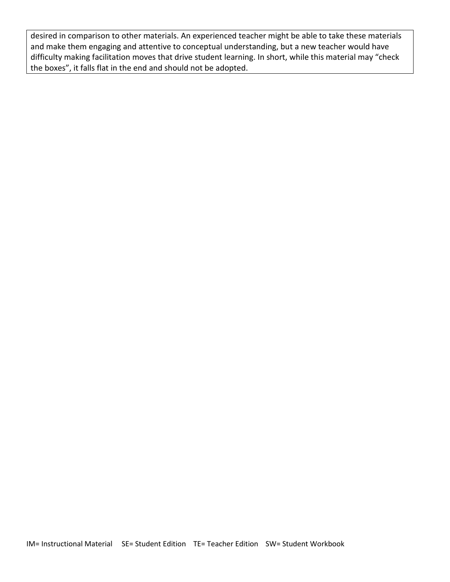desired in comparison to other materials. An experienced teacher might be able to take these materials and make them engaging and attentive to conceptual understanding, but a new teacher would have difficulty making facilitation moves that drive student learning. In short, while this material may "check the boxes", it falls flat in the end and should not be adopted.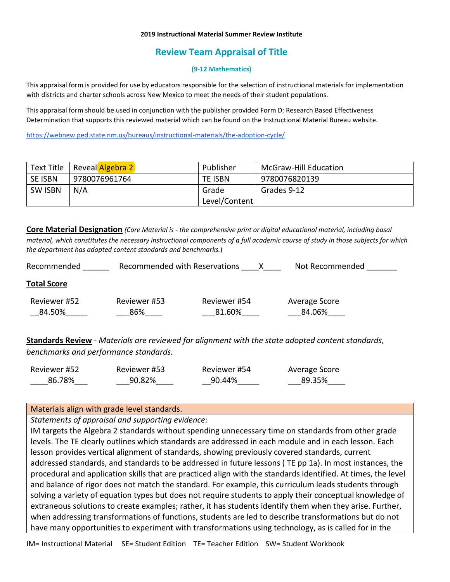#### **2019 Instructional Material Summer Review Institute**

# **Review Team Appraisal of Title**

### **(9-12 Mathematics)**

This appraisal form is provided for use by educators responsible for the selection of instructional materials for implementation with districts and charter schools across New Mexico to meet the needs of their student populations.

This appraisal form should be used in conjunction with the publisher provided Form D: Research Based Effectiveness Determination that supports this reviewed material which can be found on the Instructional Material Bureau website.

<https://webnew.ped.state.nm.us/bureaus/instructional-materials/the-adoption-cycle/>

|                | Text Title   Reveal Algebra 2 | Publisher     | <b>McGraw-Hill Education</b> |
|----------------|-------------------------------|---------------|------------------------------|
| <b>SE ISBN</b> | 9780076961764                 | TE ISBN       | 9780076820139                |
| <b>SW ISBN</b> | N/A                           | Grade         | Grades 9-12                  |
|                |                               | Level/Content |                              |

**Core Material Designation** *(Core Material is - the comprehensive print or digital educational material, including basal material, which constitutes the necessary instructional components of a full academic course of study in those subjects for which the department has adopted content standards and benchmarks.*)

| Recommended            | Recommended with Reservations |                        | Not Recommended         |
|------------------------|-------------------------------|------------------------|-------------------------|
| <b>Total Score</b>     |                               |                        |                         |
| Reviewer #52<br>84.50% | Reviewer #53<br>86%           | Reviewer #54<br>81.60% | Average Score<br>84.06% |

**Standards Review** - *Materials are reviewed for alignment with the state adopted content standards, benchmarks and performance standards.*

| Reviewer #52 | Reviewer #53 | Reviewer #54 | Average Score |
|--------------|--------------|--------------|---------------|
| 86.78%       | 90.82%       | 90.44%       | 89.35%        |

### Materials align with grade level standards.

*Statements of appraisal and supporting evidence:*

IM targets the Algebra 2 standards without spending unnecessary time on standards from other grade levels. The TE clearly outlines which standards are addressed in each module and in each lesson. Each lesson provides vertical alignment of standards, showing previously covered standards, current addressed standards, and standards to be addressed in future lessons ( TE pp 1a). In most instances, the procedural and application skills that are practiced align with the standards identified. At times, the level and balance of rigor does not match the standard. For example, this curriculum leads students through solving a variety of equation types but does not require students to apply their conceptual knowledge of extraneous solutions to create examples; rather, it has students identify them when they arise. Further, when addressing transformations of functions, students are led to describe transformations but do not have many opportunities to experiment with transformations using technology, as is called for in the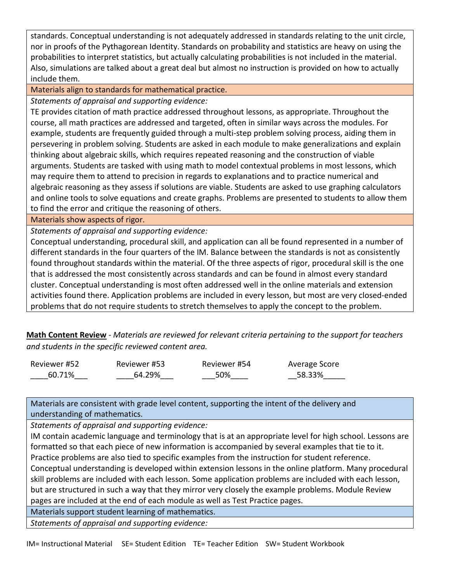standards. Conceptual understanding is not adequately addressed in standards relating to the unit circle, nor in proofs of the Pythagorean Identity. Standards on probability and statistics are heavy on using the probabilities to interpret statistics, but actually calculating probabilities is not included in the material. Also, simulations are talked about a great deal but almost no instruction is provided on how to actually include them.

Materials align to standards for mathematical practice.

*Statements of appraisal and supporting evidence:*

TE provides citation of math practice addressed throughout lessons, as appropriate. Throughout the course, all math practices are addressed and targeted, often in similar ways across the modules. For example, students are frequently guided through a multi-step problem solving process, aiding them in persevering in problem solving. Students are asked in each module to make generalizations and explain thinking about algebraic skills, which requires repeated reasoning and the construction of viable arguments. Students are tasked with using math to model contextual problems in most lessons, which may require them to attend to precision in regards to explanations and to practice numerical and algebraic reasoning as they assess if solutions are viable. Students are asked to use graphing calculators and online tools to solve equations and create graphs. Problems are presented to students to allow them to find the error and critique the reasoning of others.

Materials show aspects of rigor.

*Statements of appraisal and supporting evidence:*

Conceptual understanding, procedural skill, and application can all be found represented in a number of different standards in the four quarters of the IM. Balance between the standards is not as consistently found throughout standards within the material. Of the three aspects of rigor, procedural skill is the one that is addressed the most consistently across standards and can be found in almost every standard cluster. Conceptual understanding is most often addressed well in the online materials and extension activities found there. Application problems are included in every lesson, but most are very closed-ended problems that do not require students to stretch themselves to apply the concept to the problem.

**Math Content Review** - *Materials are reviewed for relevant criteria pertaining to the support for teachers and students in the specific reviewed content area.*

| Reviewer #52 | Reviewer #53 | Reviewer #54 | Average Score |
|--------------|--------------|--------------|---------------|
| 60.71%       | 64.29%       | 50%          | 58.33%        |

Materials are consistent with grade level content, supporting the intent of the delivery and understanding of mathematics.

*Statements of appraisal and supporting evidence:* 

IM contain academic language and terminology that is at an appropriate level for high school. Lessons are formatted so that each piece of new information is accompanied by several examples that tie to it. Practice problems are also tied to specific examples from the instruction for student reference.

Conceptual understanding is developed within extension lessons in the online platform. Many procedural skill problems are included with each lesson. Some application problems are included with each lesson, but are structured in such a way that they mirror very closely the example problems. Module Review pages are included at the end of each module as well as Test Practice pages.

Materials support student learning of mathematics.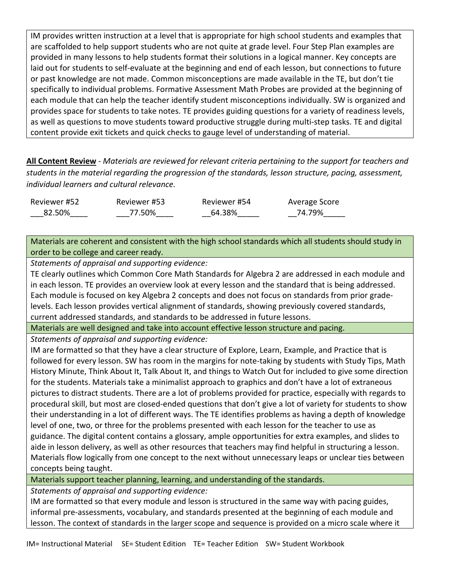IM provides written instruction at a level that is appropriate for high school students and examples that are scaffolded to help support students who are not quite at grade level. Four Step Plan examples are provided in many lessons to help students format their solutions in a logical manner. Key concepts are laid out for students to self-evaluate at the beginning and end of each lesson, but connections to future or past knowledge are not made. Common misconceptions are made available in the TE, but don't tie specifically to individual problems. Formative Assessment Math Probes are provided at the beginning of each module that can help the teacher identify student misconceptions individually. SW is organized and provides space for students to take notes. TE provides guiding questions for a variety of readiness levels, as well as questions to move students toward productive struggle during multi-step tasks. TE and digital content provide exit tickets and quick checks to gauge level of understanding of material.

**All Content Review** - *Materials are reviewed for relevant criteria pertaining to the support for teachers and students in the material regarding the progression of the standards, lesson structure, pacing, assessment, individual learners and cultural relevance.*

Reviewer #52 \_\_\_82.50%\_\_\_\_ Reviewer #53 \_\_\_77.50%\_\_\_\_ Reviewer #54 \_\_64.38%\_\_\_\_\_ \_\_74.79%\_\_\_\_\_ Average Score

Materials are coherent and consistent with the high school standards which all students should study in order to be college and career ready.

*Statements of appraisal and supporting evidence:*

TE clearly outlines which Common Core Math Standards for Algebra 2 are addressed in each module and in each lesson. TE provides an overview look at every lesson and the standard that is being addressed. Each module is focused on key Algebra 2 concepts and does not focus on standards from prior gradelevels. Each lesson provides vertical alignment of standards, showing previously covered standards, current addressed standards, and standards to be addressed in future lessons.

Materials are well designed and take into account effective lesson structure and pacing.

*Statements of appraisal and supporting evidence:*

IM are formatted so that they have a clear structure of Explore, Learn, Example, and Practice that is followed for every lesson. SW has room in the margins for note-taking by students with Study Tips, Math History Minute, Think About It, Talk About It, and things to Watch Out for included to give some direction for the students. Materials take a minimalist approach to graphics and don't have a lot of extraneous pictures to distract students. There are a lot of problems provided for practice, especially with regards to procedural skill, but most are closed-ended questions that don't give a lot of variety for students to show their understanding in a lot of different ways. The TE identifies problems as having a depth of knowledge level of one, two, or three for the problems presented with each lesson for the teacher to use as guidance. The digital content contains a glossary, ample opportunities for extra examples, and slides to aide in lesson delivery, as well as other resources that teachers may find helpful in structuring a lesson. Materials flow logically from one concept to the next without unnecessary leaps or unclear ties between concepts being taught.

Materials support teacher planning, learning, and understanding of the standards.

*Statements of appraisal and supporting evidence:*

IM are formatted so that every module and lesson is structured in the same way with pacing guides, informal pre-assessments, vocabulary, and standards presented at the beginning of each module and lesson. The context of standards in the larger scope and sequence is provided on a micro scale where it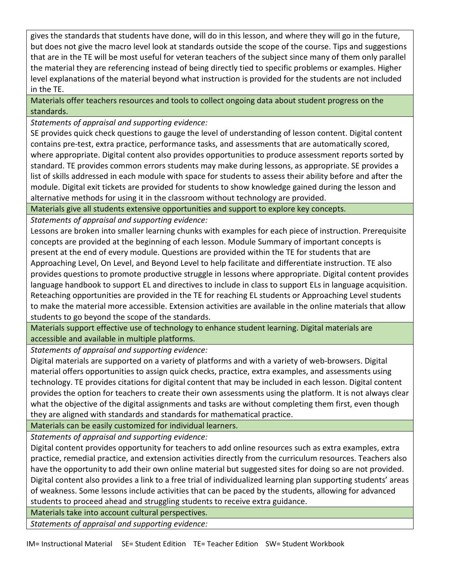gives the standards that students have done, will do in this lesson, and where they will go in the future, but does not give the macro level look at standards outside the scope of the course. Tips and suggestions that are in the TE will be most useful for veteran teachers of the subject since many of them only parallel the material they are referencing instead of being directly tied to specific problems or examples. Higher level explanations of the material beyond what instruction is provided for the students are not included in the TE.

Materials offer teachers resources and tools to collect ongoing data about student progress on the standards.

*Statements of appraisal and supporting evidence:*

SE provides quick check questions to gauge the level of understanding of lesson content. Digital content contains pre-test, extra practice, performance tasks, and assessments that are automatically scored, where appropriate. Digital content also provides opportunities to produce assessment reports sorted by standard. TE provides common errors students may make during lessons, as appropriate. SE provides a list of skills addressed in each module with space for students to assess their ability before and after the module. Digital exit tickets are provided for students to show knowledge gained during the lesson and alternative methods for using it in the classroom without technology are provided.

Materials give all students extensive opportunities and support to explore key concepts.

*Statements of appraisal and supporting evidence:*

Lessons are broken into smaller learning chunks with examples for each piece of instruction. Prerequisite concepts are provided at the beginning of each lesson. Module Summary of important concepts is present at the end of every module. Questions are provided within the TE for students that are Approaching Level, On Level, and Beyond Level to help facilitate and differentiate instruction. TE also provides questions to promote productive struggle in lessons where appropriate. Digital content provides language handbook to support EL and directives to include in class to support ELs in language acquisition. Reteaching opportunities are provided in the TE for reaching EL students or Approaching Level students to make the material more accessible. Extension activities are available in the online materials that allow students to go beyond the scope of the standards.

Materials support effective use of technology to enhance student learning. Digital materials are accessible and available in multiple platforms.

*Statements of appraisal and supporting evidence:*

Digital materials are supported on a variety of platforms and with a variety of web-browsers. Digital material offers opportunities to assign quick checks, practice, extra examples, and assessments using technology. TE provides citations for digital content that may be included in each lesson. Digital content provides the option for teachers to create their own assessments using the platform. It is not always clear what the objective of the digital assignments and tasks are without completing them first, even though they are aligned with standards and standards for mathematical practice.

Materials can be easily customized for individual learners.

*Statements of appraisal and supporting evidence:*

Digital content provides opportunity for teachers to add online resources such as extra examples, extra practice, remedial practice, and extension activities directly from the curriculum resources. Teachers also have the opportunity to add their own online material but suggested sites for doing so are not provided. Digital content also provides a link to a free trial of individualized learning plan supporting students' areas of weakness. Some lessons include activities that can be paced by the students, allowing for advanced students to proceed ahead and struggling students to receive extra guidance.

Materials take into account cultural perspectives.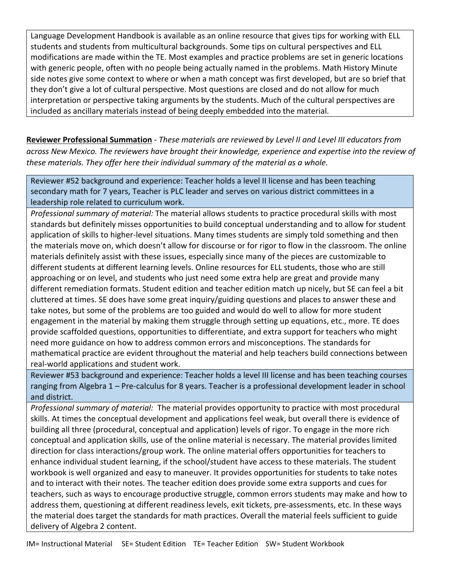Language Development Handbook is available as an online resource that gives tips for working with ELL students and students from multicultural backgrounds. Some tips on cultural perspectives and ELL modifications are made within the TE. Most examples and practice problems are set in generic locations with generic people, often with no people being actually named in the problems. Math History Minute side notes give some context to where or when a math concept was first developed, but are so brief that they don't give a lot of cultural perspective. Most questions are closed and do not allow for much interpretation or perspective taking arguments by the students. Much of the cultural perspectives are included as ancillary materials instead of being deeply embedded into the material.

**Reviewer Professional Summation** - *These materials are reviewed by Level II and Level III educators from across New Mexico. The reviewers have brought their knowledge, experience and expertise into the review of these materials. They offer here their individual summary of the material as a whole.* 

Reviewer #52 background and experience: Teacher holds a level II license and has been teaching secondary math for 7 years, Teacher is PLC leader and serves on various district committees in a leadership role related to curriculum work.

*Professional summary of material:* The material allows students to practice procedural skills with most standards but definitely misses opportunities to build conceptual understanding and to allow for student application of skills to higher-level situations. Many times students are simply told something and then the materials move on, which doesn't allow for discourse or for rigor to flow in the classroom. The online materials definitely assist with these issues, especially since many of the pieces are customizable to different students at different learning levels. Online resources for ELL students, those who are still approaching or on level, and students who just need some extra help are great and provide many different remediation formats. Student edition and teacher edition match up nicely, but SE can feel a bit cluttered at times. SE does have some great inquiry/guiding questions and places to answer these and take notes, but some of the problems are too guided and would do well to allow for more student engagement in the material by making them struggle through setting up equations, etc., more. TE does provide scaffolded questions, opportunities to differentiate, and extra support for teachers who might need more guidance on how to address common errors and misconceptions. The standards for mathematical practice are evident throughout the material and help teachers build connections between real-world applications and student work.

Reviewer #53 background and experience: Teacher holds a level III license and has been teaching courses ranging from Algebra 1 – Pre-calculus for 8 years. Teacher is a professional development leader in school and district.

*Professional summary of material:* The material provides opportunity to practice with most procedural skills. At times the conceptual development and applications feel weak, but overall there is evidence of building all three (procedural, conceptual and application) levels of rigor. To engage in the more rich conceptual and application skills, use of the online material is necessary. The material provides limited direction for class interactions/group work. The online material offers opportunities for teachers to enhance individual student learning, if the school/student have access to these materials. The student workbook is well organized and easy to maneuver. It provides opportunities for students to take notes and to interact with their notes. The teacher edition does provide some extra supports and cues for teachers, such as ways to encourage productive struggle, common errors students may make and how to address them, questioning at different readiness levels, exit tickets, pre-assessments, etc. In these ways the material does target the standards for math practices. Overall the material feels sufficient to guide delivery of Algebra 2 content.